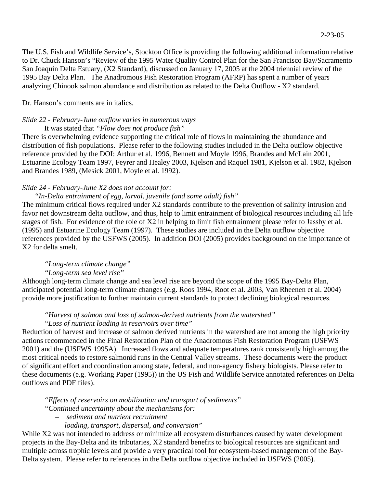The U.S. Fish and Wildlife Service's, Stockton Office is providing the following additional information relative to Dr. Chuck Hanson's "Review of the 1995 Water Quality Control Plan for the San Francisco Bay/Sacramento San Joaquin Delta Estuary, (X2 Standard), discussed on January 17, 2005 at the 2004 triennial review of the 1995 Bay Delta Plan. The Anadromous Fish Restoration Program (AFRP) has spent a number of years analyzing Chinook salmon abundance and distribution as related to the Delta Outflow - X2 standard.

### Dr. Hanson's comments are in italics.

# *Slide 22 - February-June outflow varies in numerous ways*

It was stated that *"Flow does not produce fish"*

There is overwhelming evidence supporting the critical role of flows in maintaining the abundance and distribution of fish populations. Please refer to the following studies included in the Delta outflow objective reference provided by the DOI: Arthur et al. 1996, Bennett and Moyle 1996, Brandes and McLain 2001, Estuarine Ecology Team 1997, Feyrer and Healey 2003, Kjelson and Raquel 1981, Kjelson et al. 1982, Kjelson and Brandes 1989, (Mesick 2001, Moyle et al. 1992).

### *Slide 24 - February-June X2 does not account for:*

### *"In-Delta entrainment of egg, larval, juvenile (and some adult) fish"*

The minimum critical flows required under X2 standards contribute to the prevention of salinity intrusion and favor net downstream delta outflow, and thus, help to limit entrainment of biological resources including all life stages of fish. For evidence of the role of X2 in helping to limit fish entrainment please refer to Jassby et al. (1995) and Estuarine Ecology Team (1997). These studies are included in the Delta outflow objective references provided by the USFWS (2005). In addition DOI (2005) provides background on the importance of X2 for delta smelt.

# *"Long-term climate change"*

## *"Long-term sea level rise"*

Although long-term climate change and sea level rise are beyond the scope of the 1995 Bay-Delta Plan, anticipated potential long-term climate changes (e.g. Roos 1994, Root et al. 2003, Van Rheenen et al. 2004) provide more justification to further maintain current standards to protect declining biological resources.

# *"Harvest of salmon and loss of salmon-derived nutrients from the watershed"*

#### *"Loss of nutrient loading in reservoirs over time"*

Reduction of harvest and increase of salmon derived nutrients in the watershed are not among the high priority actions recommended in the Final Restoration Plan of the Anadromous Fish Restoration Program (USFWS 2001) and the (USFWS 1995A). Increased flows and adequate temperatures rank consistently high among the most critical needs to restore salmonid runs in the Central Valley streams. These documents were the product of significant effort and coordination among state, federal, and non-agency fishery biologists. Please refer to these documents (e.g. Working Paper (1995)) in the US Fish and Wildlife Service annotated references on Delta outflows and PDF files).

*"Effects of reservoirs on mobilization and transport of sediments"* 

 *"Continued uncertainty about the mechanisms for:* 

- *sediment and nutrient recruitment*
- *loading, transport, dispersal, and conversion"*

While X2 was not intended to address or minimize all ecosystem disturbances caused by water development projects in the Bay-Delta and its tributaries, X2 standard benefits to biological resources are significant and multiple across trophic levels and provide a very practical tool for ecosystem-based management of the Bay-Delta system. Please refer to references in the Delta outflow objective included in USFWS (2005).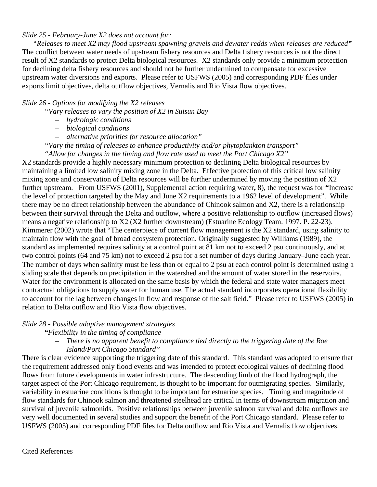# *Slide 25 - February-June X2 does not account for:*

*"Releases to meet X2 may flood upstream spawning gravels and dewater redds when releases are reduced"* The conflict between water needs of upstream fishery resources and Delta fishery resources is not the direct result of X2 standards to protect Delta biological resources. X2 standards only provide a minimum protection for declining delta fishery resources and should not be further undermined to compensate for excessive upstream water diversions and exports. Please refer to USFWS (2005) and corresponding PDF files under exports limit objectives, delta outflow objectives, Vernalis and Rio Vista flow objectives.

## *Slide 26 - Options for modifying the X2 releases*

*"Vary releases to vary the position of X2 in Suisun Bay* 

- *hydrologic conditions*
- *biological conditions*
- *alternative priorities for resource allocation"*
- *"Vary the timing of releases to enhance productivity and/or phytoplankton transport"*

 *"Allow for changes in the timing and flow rate used to meet the Port Chicago X2"* 

X2 standards provide a highly necessary minimum protection to declining Delta biological resources by maintaining a limited low salinity mixing zone in the Delta. Effective protection of this critical low salinity mixing zone and conservation of Delta resources will be further undermined by moving the position of X2 further upstream. From USFWS (2001), Supplemental action requiring water**,** 8), the request was for **"**Increase the level of protection targeted by the May and June X2 requirements to a 1962 level of development". While there may be no direct relationship between the abundance of Chinook salmon and X2, there is a relationship between their survival through the Delta and outflow, where a positive relationship to outflow (increased flows) means a negative relationship to X2 (X2 further downstream) (Estuarine Ecology Team. 1997. P. 22-23). Kimmerer (2002) wrote that "The centerpiece of current flow management is the X2 standard, using salinity to maintain flow with the goal of broad ecosystem protection. Originally suggested by Williams (1989), the standard as implemented requires salinity at a control point at 81 km not to exceed 2 psu continuously, and at two control points (64 and 75 km) not to exceed 2 psu for a set number of days during January–June each year. The number of days when salinity must be less than or equal to 2 psu at each control point is determined using a sliding scale that depends on precipitation in the watershed and the amount of water stored in the reservoirs. Water for the environment is allocated on the same basis by which the federal and state water managers meet contractual obligations to supply water for human use. The actual standard incorporates operational flexibility to account for the lag between changes in flow and response of the salt field." Please refer to USFWS (2005) in relation to Delta outflow and Rio Vista flow objectives.

#### *Slide 28 - Possible adaptive management strategies*

*"Flexibility in the timing of compliance* 

# – *There is no apparent benefit to compliance tied directly to the triggering date of the Roe Island/Port Chicago Standard"*

There is clear evidence supporting the triggering date of this standard. This standard was adopted to ensure that the requirement addressed only flood events and was intended to protect ecological values of declining flood flows from future developments in water infrastructure. The descending limb of the flood hydrograph, the target aspect of the Port Chicago requirement, is thought to be important for outmigrating species. Similarly, variability in estuarine conditions is thought to be important for estuarine species. Timing and magnitude of flow standards for Chinook salmon and threatened steelhead are critical in terms of downstream migration and survival of juvenile salmonids. Positive relationships between juvenile salmon survival and delta outflows are very well documented in several studies and support the benefit of the Port Chicago standard. Please refer to USFWS (2005) and corresponding PDF files for Delta outflow and Rio Vista and Vernalis flow objectives.